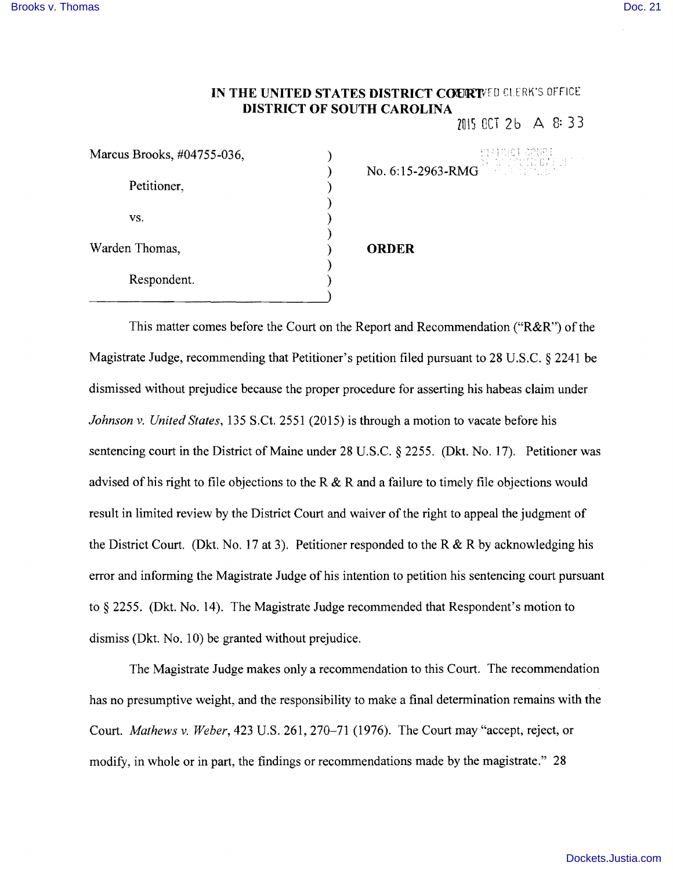## IN THE UNITED STATES DISTRICT COURTNED CLERK'S OFFICE **DISTRICT OF SOUTH CAROLINA**

 $70150C$   $2b$  A  $8:33$ 

| Marcus Brooks, #04755-036, | 13,801            |
|----------------------------|-------------------|
| Petitioner,                | No. 6:15-2963-RMG |
| VS.                        |                   |
| Warden Thomas,             | <b>ORDER</b>      |
| Respondent.                |                   |

This matter comes before the Court on the Report and Recommendation ("R&R") of the Magistrate Judge, recommending that Petitioner's petition filed pursuant to 28 U.S.C. § 2241 be dismissed without prejudice because the proper procedure for asserting his habeas claim under *Johnson* v. *United States,* 135 S.Ct. 2551 (2015) is through a motion to vacate before his sentencing court in the District of Maine under 28 U.S.C. § 2255. (Dkt. No. 17). Petitioner was advised of his right to file objections to the R & R and a failure to timely file objections would result in limited review by the District Court and waiver of the right to appeal the judgment of the District Court. (Dkt. No. 17 at 3). Petitioner responded to the R  $\&$  R by acknowledging his error and informing the Magistrate Judge of his intention to petition his sentencing court pursuant to § 2255. (Dkt. No. 14). The Magistrate Judge recommended that Respondent's motion to dismiss (Dkt. No. 10) be granted without prejudice.

The Magistrate Judge makes only a recommendation to this Court. The recommendation has no presumptive weight, and the responsibility to make a final determination remains with the Court. *Mathews* v. *Weber,* 423 U.S. 261, 270-71 (1976). The Court may "accept, reject, or modify, in whole or in part, the findings or recommendations made by the magistrate." 28